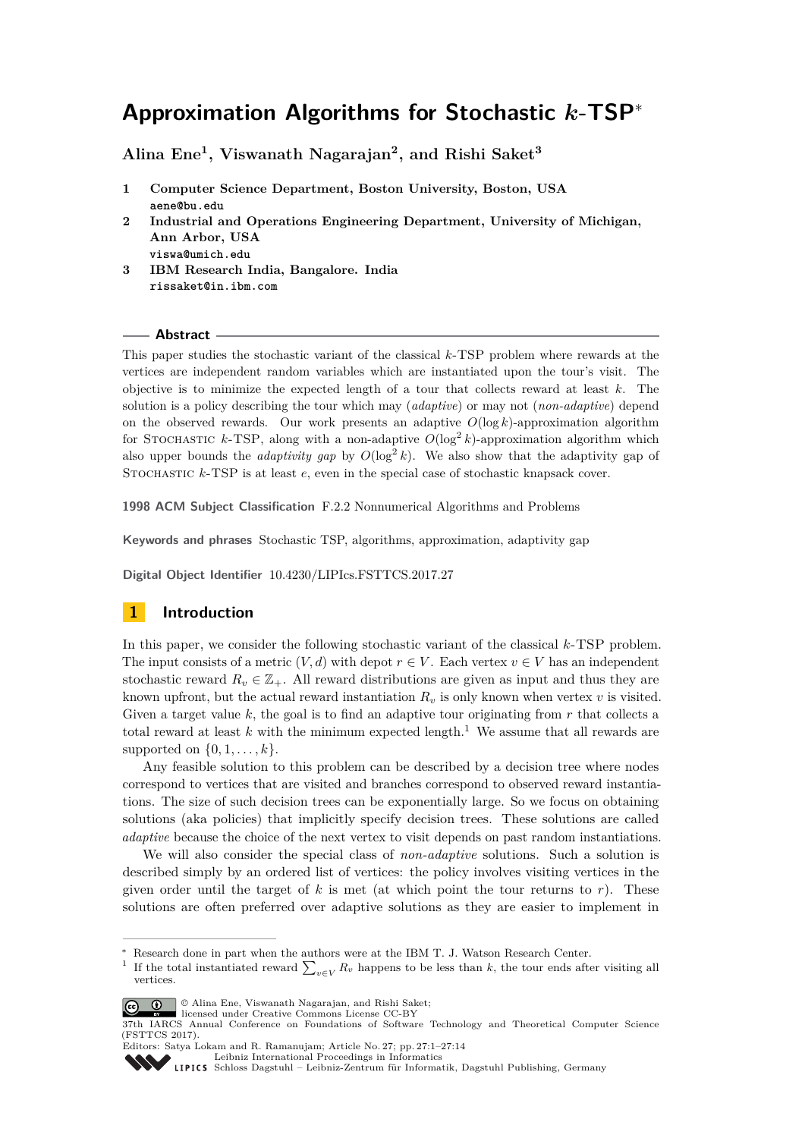# **Approximation Algorithms for Stochastic** *k***-TSP**<sup>∗</sup>

**Alina Ene<sup>1</sup> , Viswanath Nagarajan<sup>2</sup> , and Rishi Saket<sup>3</sup>**

- **1 Computer Science Department, Boston University, Boston, USA aene@bu.edu**
- **2 Industrial and Operations Engineering Department, University of Michigan, Ann Arbor, USA**
	- **viswa@umich.edu**
- **3 IBM Research India, Bangalore. India rissaket@in.ibm.com**

## **Abstract**

This paper studies the stochastic variant of the classical *k*-TSP problem where rewards at the vertices are independent random variables which are instantiated upon the tour's visit. The objective is to minimize the expected length of a tour that collects reward at least *k*. The solution is a policy describing the tour which may (*adaptive*) or may not (*non-adaptive*) depend on the observed rewards. Our work presents an adaptive *O*(log *k*)-approximation algorithm for STOCHASTIC  $k$ -TSP, along with a non-adaptive  $O(\log^2 k)$ -approximation algorithm which also upper bounds the *adaptivity gap* by  $O(\log^2 k)$ . We also show that the adaptivity gap of STOCHASTIC  $k$ -TSP is at least  $e$ , even in the special case of stochastic knapsack cover.

**1998 ACM Subject Classification** F.2.2 Nonnumerical Algorithms and Problems

**Keywords and phrases** Stochastic TSP, algorithms, approximation, adaptivity gap

**Digital Object Identifier** [10.4230/LIPIcs.FSTTCS.2017.27](http://dx.doi.org/10.4230/LIPIcs.FSTTCS.2017.27)

# **1 Introduction**

In this paper, we consider the following stochastic variant of the classical *k*-TSP problem. The input consists of a metric  $(V, d)$  with depot  $r \in V$ . Each vertex  $v \in V$  has an independent stochastic reward  $R_v \in \mathbb{Z}_+$ . All reward distributions are given as input and thus they are known upfront, but the actual reward instantiation  $R_v$  is only known when vertex  $v$  is visited. Given a target value *k*, the goal is to find an adaptive tour originating from *r* that collects a total reward at least  $k$  with the minimum expected length.<sup>[1](#page-0-0)</sup> We assume that all rewards are supported on  $\{0, 1, \ldots, k\}$ .

Any feasible solution to this problem can be described by a decision tree where nodes correspond to vertices that are visited and branches correspond to observed reward instantiations. The size of such decision trees can be exponentially large. So we focus on obtaining solutions (aka policies) that implicitly specify decision trees. These solutions are called *adaptive* because the choice of the next vertex to visit depends on past random instantiations.

We will also consider the special class of *non-adaptive* solutions. Such a solution is described simply by an ordered list of vertices: the policy involves visiting vertices in the given order until the target of *k* is met (at which point the tour returns to *r*). These solutions are often preferred over adaptive solutions as they are easier to implement in

© Alina Ene, Viswanath Nagarajan, and Rishi Saket;

[Schloss Dagstuhl – Leibniz-Zentrum für Informatik, Dagstuhl Publishing, Germany](http://www.dagstuhl.de)

Research done in part when the authors were at the IBM T. J. Watson Research Center.

<span id="page-0-0"></span><sup>1</sup> If the total instantiated reward  $\sum_{v \in V} R_v$  happens to be less than *k*, the tour ends after visiting all vertices.

licensed under Creative Commons License CC-BY

<sup>37</sup>th IARCS Annual Conference on Foundations of Software Technology and Theoretical Computer Science (FSTTCS 2017).

Editors: Satya Lokam and R. Ramanujam; Article No. 27; pp. 27:1–27[:14](#page-13-0)

[Leibniz International Proceedings in Informatics](http://www.dagstuhl.de/lipics/)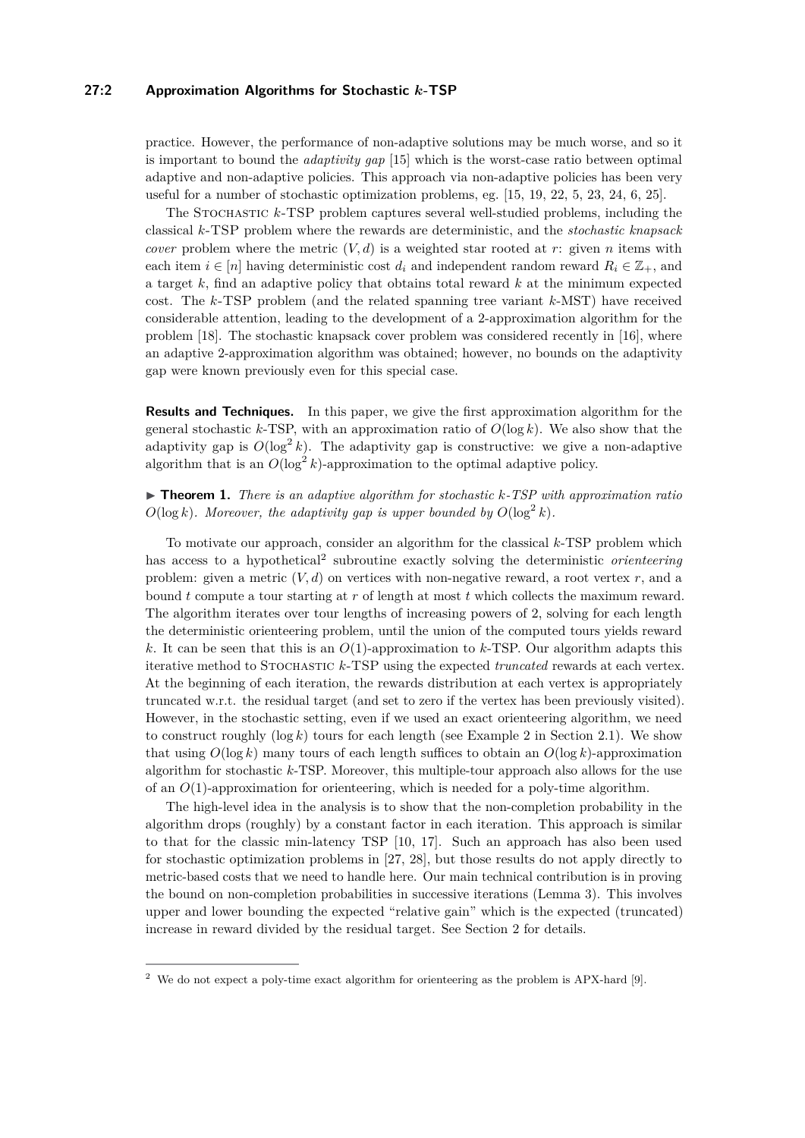## **27:2 Approximation Algorithms for Stochastic** *k***-TSP**

practice. However, the performance of non-adaptive solutions may be much worse, and so it is important to bound the *adaptivity gap* [\[15\]](#page-13-1) which is the worst-case ratio between optimal adaptive and non-adaptive policies. This approach via non-adaptive policies has been very useful for a number of stochastic optimization problems, eg. [\[15,](#page-13-1) [19,](#page-13-2) [22,](#page-13-3) [5,](#page-12-0) [23,](#page-13-4) [24,](#page-13-5) [6,](#page-12-1) [25\]](#page-13-6).

The Stochastic *k*-TSP problem captures several well-studied problems, including the classical *k*-TSP problem where the rewards are deterministic, and the *stochastic knapsack cover* problem where the metric  $(V, d)$  is a weighted star rooted at *r*: given *n* items with each item  $i \in [n]$  having deterministic cost  $d_i$  and independent random reward  $R_i \in \mathbb{Z}_+$ , and a target *k*, find an adaptive policy that obtains total reward *k* at the minimum expected cost. The *k*-TSP problem (and the related spanning tree variant *k*-MST) have received considerable attention, leading to the development of a 2-approximation algorithm for the problem [\[18\]](#page-13-7). The stochastic knapsack cover problem was considered recently in [\[16\]](#page-13-8), where an adaptive 2-approximation algorithm was obtained; however, no bounds on the adaptivity gap were known previously even for this special case.

**Results and Techniques.** In this paper, we give the first approximation algorithm for the general stochastic  $k$ -TSP, with an approximation ratio of  $O(\log k)$ . We also show that the adaptivity gap is  $O(\log^2 k)$ . The adaptivity gap is constructive: we give a non-adaptive algorithm that is an  $O(\log^2 k)$ -approximation to the optimal adaptive policy.

<span id="page-1-1"></span>I **Theorem 1.** *There is an adaptive algorithm for stochastic k-TSP with approximation ratio*  $O(\log k)$ *. Moreover, the adaptivity gap is upper bounded by*  $O(\log^2 k)$ *.* 

To motivate our approach, consider an algorithm for the classical *k*-TSP problem which has access to a hypothetical<sup>[2](#page-1-0)</sup> subroutine exactly solving the deterministic *orienteering* problem: given a metric  $(V, d)$  on vertices with non-negative reward, a root vertex  $r$ , and a bound *t* compute a tour starting at *r* of length at most *t* which collects the maximum reward. The algorithm iterates over tour lengths of increasing powers of 2, solving for each length the deterministic orienteering problem, until the union of the computed tours yields reward *k*. It can be seen that this is an *O*(1)-approximation to *k*-TSP. Our algorithm adapts this iterative method to Stochastic *k*-TSP using the expected *truncated* rewards at each vertex. At the beginning of each iteration, the rewards distribution at each vertex is appropriately truncated w.r.t. the residual target (and set to zero if the vertex has been previously visited). However, in the stochastic setting, even if we used an exact orienteering algorithm, we need to construct roughly  $(\log k)$  tours for each length (see Example 2 in Section [2.1\)](#page-6-0). We show that using  $O(\log k)$  many tours of each length suffices to obtain an  $O(\log k)$ -approximation algorithm for stochastic *k*-TSP. Moreover, this multiple-tour approach also allows for the use of an *O*(1)-approximation for orienteering, which is needed for a poly-time algorithm.

The high-level idea in the analysis is to show that the non-completion probability in the algorithm drops (roughly) by a constant factor in each iteration. This approach is similar to that for the classic min-latency TSP [\[10,](#page-12-2) [17\]](#page-13-9). Such an approach has also been used for stochastic optimization problems in [\[27,](#page-13-10) [28\]](#page-13-11), but those results do not apply directly to metric-based costs that we need to handle here. Our main technical contribution is in proving the bound on non-completion probabilities in successive iterations (Lemma [3\)](#page-3-0). This involves upper and lower bounding the expected "relative gain" which is the expected (truncated) increase in reward divided by the residual target. See Section [2](#page-2-0) for details.

<span id="page-1-0"></span><sup>2</sup> We do not expect a poly-time exact algorithm for orienteering as the problem is APX-hard [\[9\]](#page-12-3).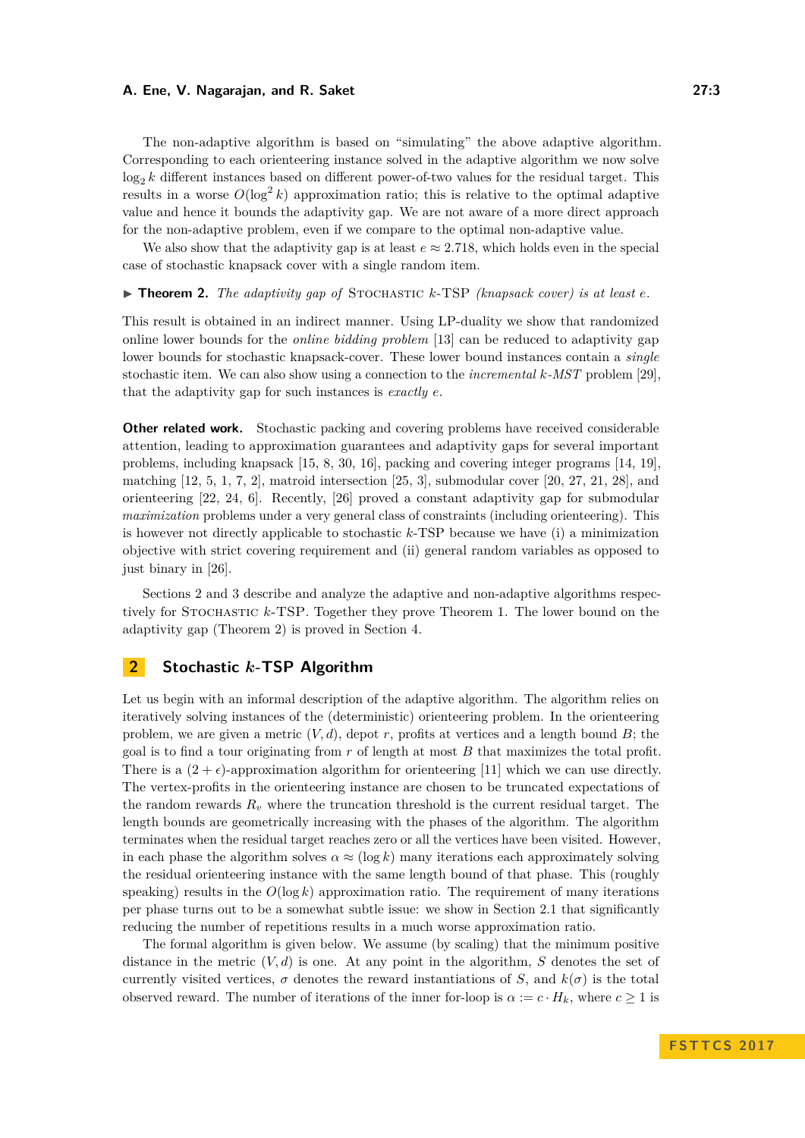The non-adaptive algorithm is based on "simulating" the above adaptive algorithm. Corresponding to each orienteering instance solved in the adaptive algorithm we now solve  $log_2 k$  different instances based on different power-of-two values for the residual target. This results in a worse  $O(\log^2 k)$  approximation ratio; this is relative to the optimal adaptive value and hence it bounds the adaptivity gap. We are not aware of a more direct approach for the non-adaptive problem, even if we compare to the optimal non-adaptive value.

We also show that the adaptivity gap is at least  $e \approx 2.718$ , which holds even in the special case of stochastic knapsack cover with a single random item.

<span id="page-2-1"></span> $\triangleright$  **Theorem 2.** *The adaptivity gap of* STOCHASTIC *k*-TSP *(knapsack cover) is at least e.* 

This result is obtained in an indirect manner. Using LP-duality we show that randomized online lower bounds for the *online bidding problem* [\[13\]](#page-12-4) can be reduced to adaptivity gap lower bounds for stochastic knapsack-cover. These lower bound instances contain a *single* stochastic item. We can also show using a connection to the *incremental k-MST* problem [\[29\]](#page-13-12), that the adaptivity gap for such instances is *exactly e*.

**Other related work.** Stochastic packing and covering problems have received considerable attention, leading to approximation guarantees and adaptivity gaps for several important problems, including knapsack [\[15,](#page-13-1) [8,](#page-12-5) [30,](#page-13-13) [16\]](#page-13-8), packing and covering integer programs [\[14,](#page-12-6) [19\]](#page-13-2), matching  $[12, 5, 1, 7, 2]$  $[12, 5, 1, 7, 2]$  $[12, 5, 1, 7, 2]$  $[12, 5, 1, 7, 2]$  $[12, 5, 1, 7, 2]$  $[12, 5, 1, 7, 2]$  $[12, 5, 1, 7, 2]$  $[12, 5, 1, 7, 2]$  $[12, 5, 1, 7, 2]$ , matroid intersection  $[25, 3]$  $[25, 3]$  $[25, 3]$ , submodular cover  $[20, 27, 21, 28]$  $[20, 27, 21, 28]$  $[20, 27, 21, 28]$  $[20, 27, 21, 28]$  $[20, 27, 21, 28]$  $[20, 27, 21, 28]$  $[20, 27, 21, 28]$ , and orienteering [\[22,](#page-13-3) [24,](#page-13-5) [6\]](#page-12-1). Recently, [\[26\]](#page-13-16) proved a constant adaptivity gap for submodular *maximization* problems under a very general class of constraints (including orienteering). This is however not directly applicable to stochastic *k*-TSP because we have (i) a minimization objective with strict covering requirement and (ii) general random variables as opposed to just binary in [\[26\]](#page-13-16).

Sections [2](#page-2-0) and [3](#page-7-0) describe and analyze the adaptive and non-adaptive algorithms respectively for Stochastic *k*-TSP. Together they prove Theorem [1.](#page-1-1) The lower bound on the adaptivity gap (Theorem [2\)](#page-2-1) is proved in Section [4.](#page-9-0)

## <span id="page-2-0"></span>**2 Stochastic** *k***-TSP Algorithm**

Let us begin with an informal description of the adaptive algorithm. The algorithm relies on iteratively solving instances of the (deterministic) orienteering problem. In the orienteering problem, we are given a metric  $(V, d)$ , depot r, profits at vertices and a length bound  $B$ ; the goal is to find a tour originating from *r* of length at most *B* that maximizes the total profit. There is a  $(2 + \epsilon)$ -approximation algorithm for orienteering [\[11\]](#page-12-12) which we can use directly. The vertex-profits in the orienteering instance are chosen to be truncated expectations of the random rewards  $R_v$  where the truncation threshold is the current residual target. The length bounds are geometrically increasing with the phases of the algorithm. The algorithm terminates when the residual target reaches zero or all the vertices have been visited. However, in each phase the algorithm solves  $\alpha \approx (\log k)$  many iterations each approximately solving the residual orienteering instance with the same length bound of that phase. This (roughly speaking) results in the  $O(\log k)$  approximation ratio. The requirement of many iterations per phase turns out to be a somewhat subtle issue: we show in Section [2.1](#page-6-0) that significantly reducing the number of repetitions results in a much worse approximation ratio.

The formal algorithm is given below. We assume (by scaling) that the minimum positive distance in the metric  $(V, d)$  is one. At any point in the algorithm, *S* denotes the set of currently visited vertices,  $\sigma$  denotes the reward instantiations of *S*, and  $k(\sigma)$  is the total observed reward. The number of iterations of the inner for-loop is  $\alpha := c \cdot H_k$ , where  $c \ge 1$  is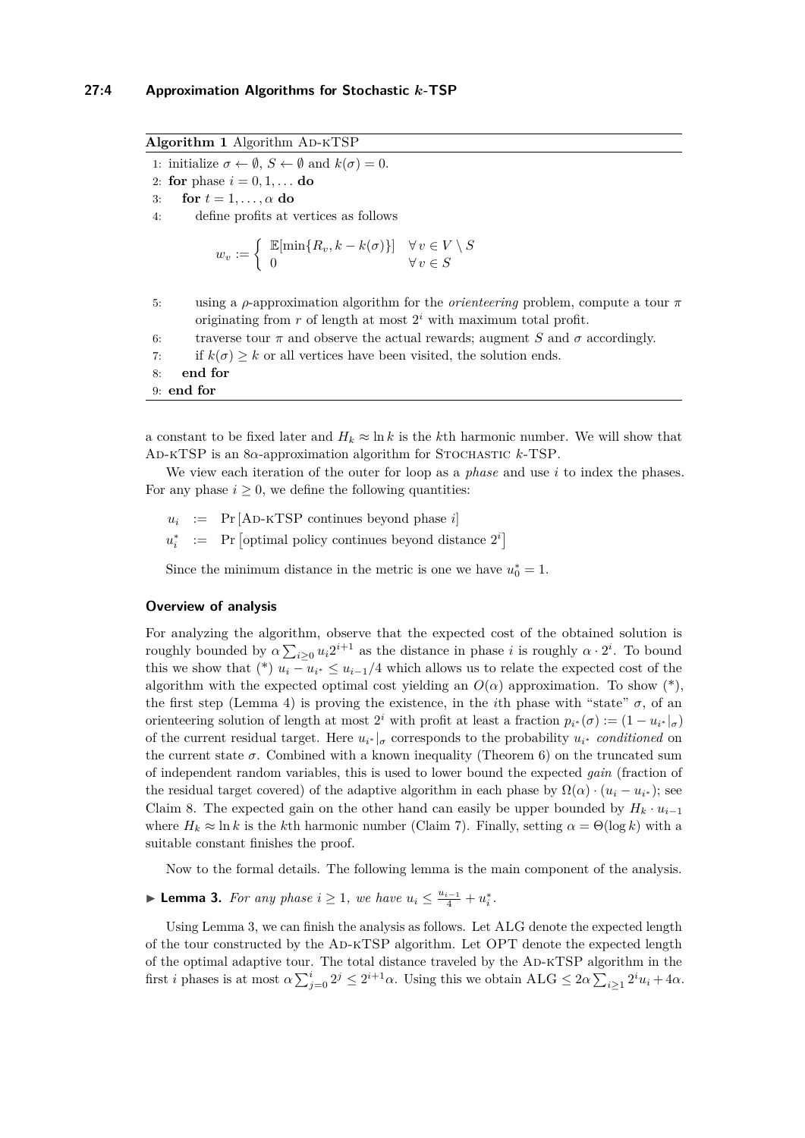**Algorithm 1** Algorithm AD-KTSP

1: initialize  $\sigma \leftarrow \emptyset$ ,  $S \leftarrow \emptyset$  and  $k(\sigma) = 0$ .

2: **for** phase  $i = 0, 1, ...$  **do** 

3: **for**  $t = 1, \ldots, \alpha$  **do** 

4: define profits at vertices as follows

$$
w_v := \begin{cases} \mathbb{E}[\min\{R_v, k - k(\sigma)\}] & \forall v \in V \setminus S \\ 0 & \forall v \in S \end{cases}
$$

- 5: using a *ρ*-approximation algorithm for the *orienteering* problem, compute a tour *π* originating from  $r$  of length at most  $2^i$  with maximum total profit.
- 6: traverse tour  $\pi$  and observe the actual rewards; augment *S* and  $\sigma$  accordingly.
- 7: if  $k(\sigma) \geq k$  or all vertices have been visited, the solution ends.

8: **end for**

9: **end for**

a constant to be fixed later and  $H_k \approx \ln k$  is the *k*<sup>th</sup> harmonic number. We will show that Ad-kTSP is an 8*α*-approximation algorithm for Stochastic *k*-TSP.

We view each iteration of the outer for loop as a *phase* and use *i* to index the phases. For any phase  $i \geq 0$ , we define the following quantities:

- $u_i$  := Pr [AD-KTSP continues beyond phase *i*]
- $u_i^*$  := Pr  $\left[$  optimal policy continues beyond distance  $2^i$

Since the minimum distance in the metric is one we have  $u_0^* = 1$ .

#### **Overview of analysis**

For analyzing the algorithm, observe that the expected cost of the obtained solution is roughly bounded by  $\alpha \sum_{i\geq 0} u_i 2^{i+1}$  as the distance in phase *i* is roughly  $\alpha \cdot 2^i$ . To bound this we show that (\*)  $u_i - u_{i^*} \leq u_{i-1}/4$  which allows us to relate the expected cost of the algorithm with the expected optimal cost yielding an  $O(\alpha)$  approximation. To show  $(*)$ , the first step (Lemma [4\)](#page-4-0) is proving the existence, in the *i*th phase with "state"  $\sigma$ , of an orienteering solution of length at most  $2^i$  with profit at least a fraction  $p_{i^*}(\sigma) := (1 - u_{i^*}|_{\sigma})$ of the current residual target. Here  $u_{i^*}|_{\sigma}$  corresponds to the probability  $u_{i^*}$  *conditioned* on the current state  $\sigma$ . Combined with a known inequality (Theorem [6\)](#page-5-0) on the truncated sum of independent random variables, this is used to lower bound the expected *gain* (fraction of the residual target covered) of the adaptive algorithm in each phase by  $\Omega(\alpha) \cdot (u_i - u_{i^*})$ ; see Claim [8.](#page-6-1) The expected gain on the other hand can easily be upper bounded by  $H_k \cdot u_{i-1}$ where  $H_k \approx \ln k$  is the *k*th harmonic number (Claim [7\)](#page-5-1). Finally, setting  $\alpha = \Theta(\log k)$  with a suitable constant finishes the proof.

Now to the formal details. The following lemma is the main component of the analysis.

<span id="page-3-0"></span>► **Lemma 3.** *For any phase*  $i \geq 1$ *, we have*  $u_i \leq \frac{u_{i-1}}{4} + u_i^*$ *.* 

Using Lemma [3,](#page-3-0) we can finish the analysis as follows. Let ALG denote the expected length of the tour constructed by the Ad-kTSP algorithm. Let OPT denote the expected length of the optimal adaptive tour. The total distance traveled by the Ad-kTSP algorithm in the first *i* phases is at most  $\alpha \sum_{j=0}^{i} 2^{j} \leq 2^{i+1} \alpha$ . Using this we obtain  $ALG \leq 2\alpha \sum_{i\geq 1} 2^{i} u_i + 4\alpha$ .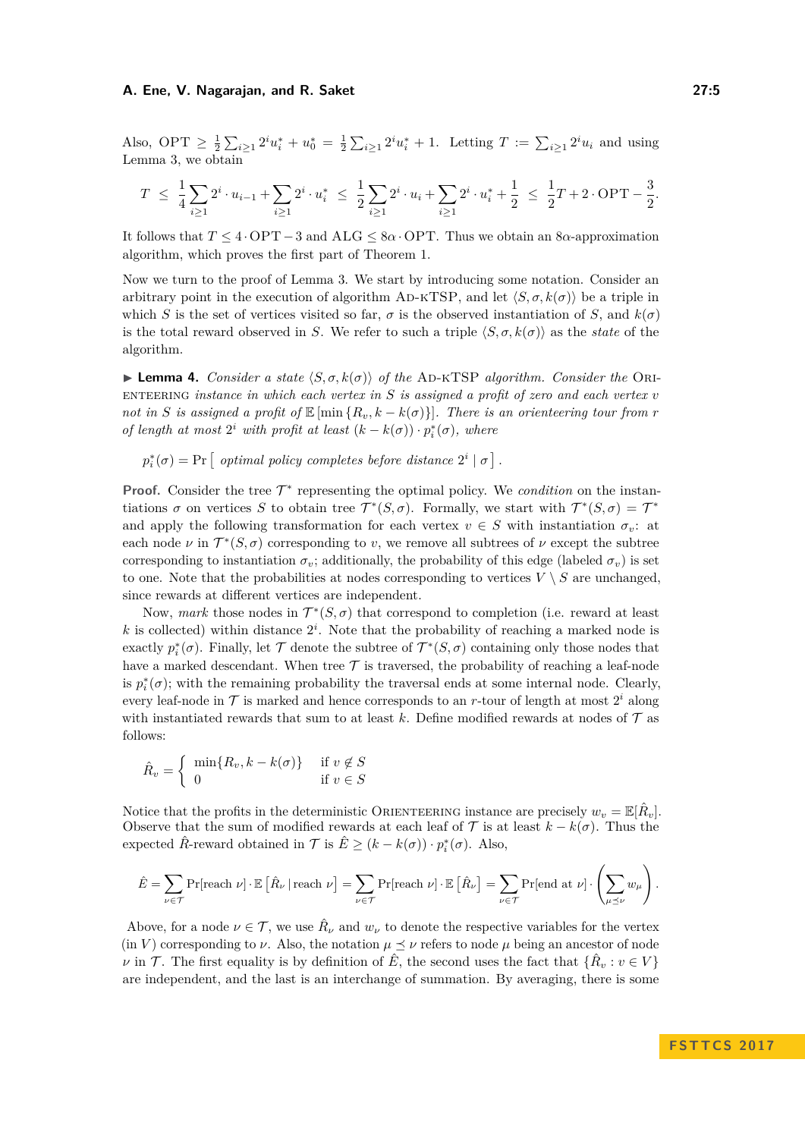Also, OPT  $\geq \frac{1}{2} \sum_{i \geq 1} 2^i u_i^* + u_0^* = \frac{1}{2} \sum_{i \geq 1} 2^i u_i^* + 1$ . Letting  $T := \sum_{i \geq 1} 2^i u_i$  and using Lemma [3,](#page-3-0) we obtain

$$
T \ \leq \ \frac{1}{4} \sum_{i \geq 1} 2^i \cdot u_{i-1} + \sum_{i \geq 1} 2^i \cdot u_i^* \ \leq \ \frac{1}{2} \sum_{i \geq 1} 2^i \cdot u_i + \sum_{i \geq 1} 2^i \cdot u_i^* + \frac{1}{2} \ \leq \ \frac{1}{2} T + 2 \cdot \text{OPT} - \frac{3}{2}.
$$

It follows that *T* ≤ 4 · OPT−3 and ALG ≤ 8*α*· OPT. Thus we obtain an 8*α*-approximation algorithm, which proves the first part of Theorem [1.](#page-1-1)

Now we turn to the proof of Lemma [3.](#page-3-0) We start by introducing some notation. Consider an arbitrary point in the execution of algorithm AD-KTSP, and let  $\langle S, \sigma, k(\sigma) \rangle$  be a triple in which *S* is the set of vertices visited so far,  $\sigma$  is the observed instantiation of *S*, and  $k(\sigma)$ is the total reward observed in *S*. We refer to such a triple  $\langle S, \sigma, k(\sigma) \rangle$  as the *state* of the algorithm.

<span id="page-4-0"></span> $\blacktriangleright$  **Lemma 4.** *Consider a state*  $\langle S, \sigma, k(\sigma) \rangle$  *of the* AD-KTSP *algorithm. Consider the* Orienteering *instance in which each vertex in S is assigned a profit of zero and each vertex v not in S is assigned a profit of*  $\mathbb{E}$  [min  $\{R_v, k - k(\sigma)\}\$ *. There is an orienteering tour from r of length at most*  $2^i$  *with profit at least*  $(k - k(\sigma)) \cdot p_i^*(\sigma)$ *, where* 

 $p_i^*(\sigma) = \Pr \left[$  optimal policy completes before distance  $2^i | \sigma$ .

**Proof.** Consider the tree  $\mathcal{T}^*$  representing the optimal policy. We *condition* on the instantiations  $\sigma$  on vertices *S* to obtain tree  $\mathcal{T}^*(S,\sigma)$ . Formally, we start with  $\mathcal{T}^*(S,\sigma) = \mathcal{T}^*$ and apply the following transformation for each vertex  $v \in S$  with instantiation  $\sigma_v$ : at each node  $\nu$  in  $\mathcal{T}^*(S, \sigma)$  corresponding to *v*, we remove all subtrees of  $\nu$  except the subtree corresponding to instantiation  $\sigma_v$ ; additionally, the probability of this edge (labeled  $\sigma_v$ ) is set to one. Note that the probabilities at nodes corresponding to vertices  $V \setminus S$  are unchanged, since rewards at different vertices are independent.

Now, *mark* those nodes in  $\mathcal{T}^*(S, \sigma)$  that correspond to completion (i.e. reward at least k is collected) within distance  $2^i$ . Note that the probability of reaching a marked node is exactly  $p_i^*(\sigma)$ . Finally, let  $\mathcal T$  denote the subtree of  $\mathcal T^*(S,\sigma)$  containing only those nodes that have a marked descendant. When tree  $\mathcal T$  is traversed, the probability of reaching a leaf-node is  $p_i^*(\sigma)$ ; with the remaining probability the traversal ends at some internal node. Clearly, every leaf-node in  $\mathcal T$  is marked and hence corresponds to an *r*-tour of length at most  $2^i$  along with instantiated rewards that sum to at least  $k$ . Define modified rewards at nodes of  $\mathcal T$  as follows:

$$
\hat{R}_v = \begin{cases} \min\{R_v, k - k(\sigma)\} & \text{if } v \notin S \\ 0 & \text{if } v \in S \end{cases}
$$

Notice that the profits in the deterministic ORIENTEERING instance are precisely  $w_v = \mathbb{E}[\hat{R}_v]$ . Observe that the sum of modified rewards at each leaf of  $\mathcal T$  is at least  $k - k(\sigma)$ . Thus the expected  $\hat{R}$ -reward obtained in  $\mathcal{T}$  is  $\hat{E} \geq (k - k(\sigma)) \cdot p_i^*(\sigma)$ . Also,

$$
\hat{E} = \sum_{\nu \in \mathcal{T}} \Pr[\text{reach } \nu] \cdot \mathbb{E}\left[\hat{R}_{\nu} \mid \text{reach } \nu\right] = \sum_{\nu \in \mathcal{T}} \Pr[\text{reach } \nu] \cdot \mathbb{E}\left[\hat{R}_{\nu}\right] = \sum_{\nu \in \mathcal{T}} \Pr[\text{end at } \nu] \cdot \left(\sum_{\mu \preceq \nu} w_{\mu}\right).
$$

Above, for a node  $\nu \in \mathcal{T}$ , we use  $\hat{R}_{\nu}$  and  $w_{\nu}$  to denote the respective variables for the vertex  $(in V)$  corresponding to  $\nu$ . Also, the notation  $\mu \leq \nu$  refers to node  $\mu$  being an ancestor of node *ν* in *T*. The first equality is by definition of  $\hat{E}$ , the second uses the fact that  $\{\hat{R}_v : v \in V\}$ are independent, and the last is an interchange of summation. By averaging, there is some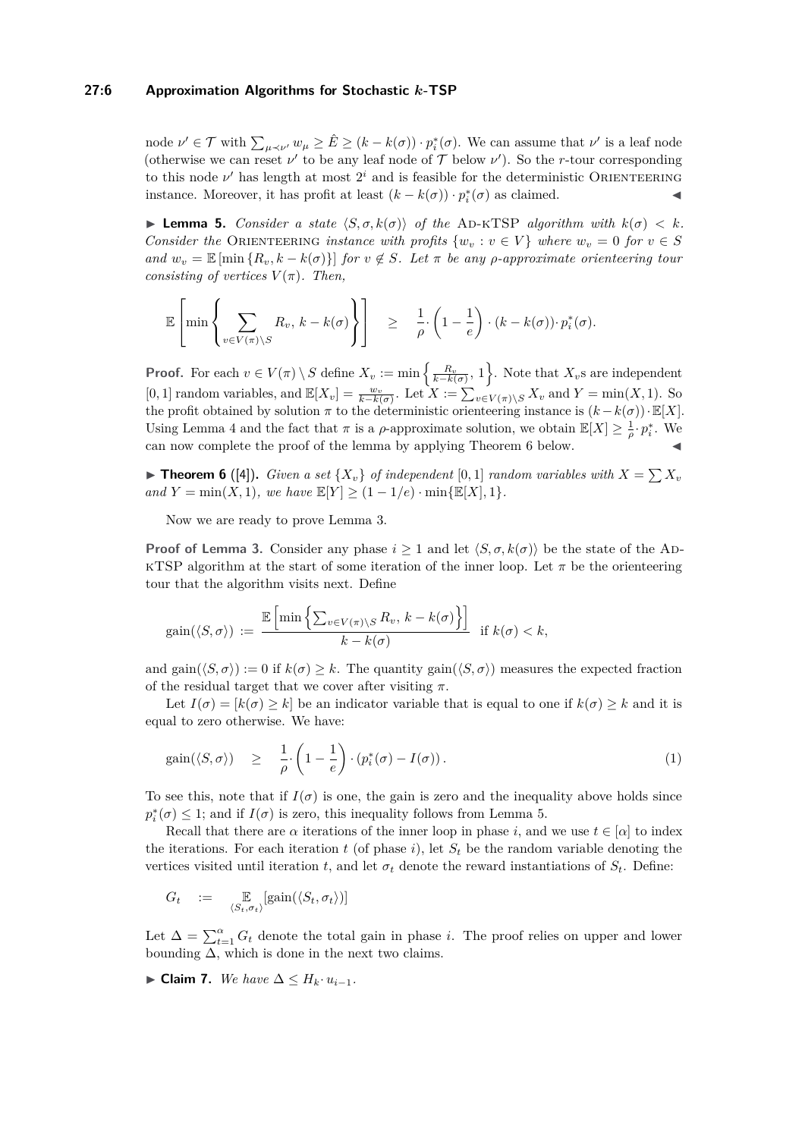## **27:6 Approximation Algorithms for Stochastic** *k***-TSP**

node  $\nu' \in \mathcal{T}$  with  $\sum_{\mu \prec \nu'} w_{\mu} \geq \hat{E} \geq (k - k(\sigma)) \cdot p_i^*(\sigma)$ . We can assume that  $\nu'$  is a leaf node (otherwise we can reset  $\nu'$  to be any leaf node of  $\mathcal T$  below  $\nu'$ ). So the *r*-tour corresponding to this node  $\nu'$  has length at most  $2^i$  and is feasible for the deterministic ORIENTEERING instance. Moreover, it has profit at least  $(k - k(σ)) \cdot p_i^*(σ)$  as claimed.  $\triangleleft$ 

<span id="page-5-2"></span>**I Lemma 5.** *Consider a state*  $\langle S, \sigma, k(\sigma) \rangle$  *of the* AD-KTSP *algorithm with*  $k(\sigma) < k$ *. Consider the* ORIENTEERING *instance with profits*  $\{w_v : v \in V\}$  *where*  $w_v = 0$  *for*  $v \in S$ *and*  $w_v = \mathbb{E} [\min \{R_v, k - k(\sigma)\}]$  *for*  $v \notin S$ *. Let*  $\pi$  *be any p*-approximate orienteering tour *consisting of vertices*  $V(\pi)$ *. Then,* 

$$
\mathbb{E}\left[\min\left\{\sum_{v\in V(\pi)\setminus S} R_v, k-k(\sigma)\right\}\right] \geq \frac{1}{\rho} \cdot \left(1-\frac{1}{e}\right) \cdot (k-k(\sigma)) \cdot p_i^*(\sigma).
$$

**Proof.** For each  $v \in V(\pi) \setminus S$  define  $X_v := \min\left\{\frac{R_v}{k - k(\sigma)}, 1\right\}$ . Note that  $X_v$ s are independent [0, 1] random variables, and  $\mathbb{E}[X_v] = \frac{w_v}{k - k(\sigma)}$ . Let  $X := \sum_{v \in V(\pi) \setminus S} X_v$  and  $Y = \min(X, 1)$ . So the profit obtained by solution  $\pi$  to the deterministic orienteering instance is  $(k - k(\sigma)) \cdot \mathbb{E}[X]$ . Using Lemma [4](#page-4-0) and the fact that  $\pi$  is a  $\rho$ -approximate solution, we obtain  $\mathbb{E}[X] \geq \frac{1}{\rho} \cdot p_i^*$ . We can now complete the proof of the lemma by applying Theorem [6](#page-5-0) below.

<span id="page-5-0"></span> $\blacktriangleright$  **Theorem 6** ([\[4\]](#page-12-13)). *Given a set*  $\{X_v\}$  *of independent* [0, 1] *random variables with*  $X = \sum X_v$ *and*  $Y = \min(X, 1)$ *, we have*  $\mathbb{E}[Y] \ge (1 - 1/e) \cdot \min\{\mathbb{E}[X], 1\}$ *.* 

Now we are ready to prove Lemma [3.](#page-3-0)

**Proof of Lemma [3.](#page-3-0)** Consider any phase  $i > 1$  and let  $\langle S, \sigma, k(\sigma) \rangle$  be the state of the AD-KTSP algorithm at the start of some iteration of the inner loop. Let  $\pi$  be the orienteering tour that the algorithm visits next. Define

$$
\text{gain}(\langle S, \sigma \rangle) := \frac{\mathbb{E}\left[\min\left\{\sum_{v \in V(\pi) \setminus S} R_v, k - k(\sigma)\right\}\right]}{k - k(\sigma)} \quad \text{if } k(\sigma) < k,
$$

and gain( $\langle S, \sigma \rangle$ ) := 0 if  $k(\sigma) > k$ . The quantity gain( $\langle S, \sigma \rangle$ ) measures the expected fraction of the residual target that we cover after visiting  $\pi$ .

Let  $I(\sigma) = [k(\sigma) \geq k]$  be an indicator variable that is equal to one if  $k(\sigma) \geq k$  and it is equal to zero otherwise. We have:

<span id="page-5-3"></span>
$$
\text{gain}(\langle S, \sigma \rangle) \quad \geq \quad \frac{1}{\rho} \cdot \left(1 - \frac{1}{e}\right) \cdot \left(p_i^*(\sigma) - I(\sigma)\right). \tag{1}
$$

To see this, note that if  $I(\sigma)$  is one, the gain is zero and the inequality above holds since  $p_i^*(\sigma) \leq 1$ ; and if  $I(\sigma)$  is zero, this inequality follows from Lemma [5.](#page-5-2)

Recall that there are  $\alpha$  iterations of the inner loop in phase *i*, and we use  $t \in [\alpha]$  to index the iterations. For each iteration  $t$  (of phase  $i$ ), let  $S_t$  be the random variable denoting the vertices visited until iteration *t*, and let  $\sigma_t$  denote the reward instantiations of  $S_t$ . Define:

$$
G_t \quad := \quad \mathop{\mathbb{E}}_{\langle S_t, \sigma_t \rangle} [\text{gain}(\langle S_t, \sigma_t \rangle)]
$$

Let  $\Delta = \sum_{t=1}^{\alpha} G_t$  denote the total gain in phase *i*. The proof relies on upper and lower bounding  $\Delta$ , which is done in the next two claims.

<span id="page-5-1"></span>► **Claim 7.** *We have*  $\Delta \leq H_k \cdot u_{i-1}$ *.*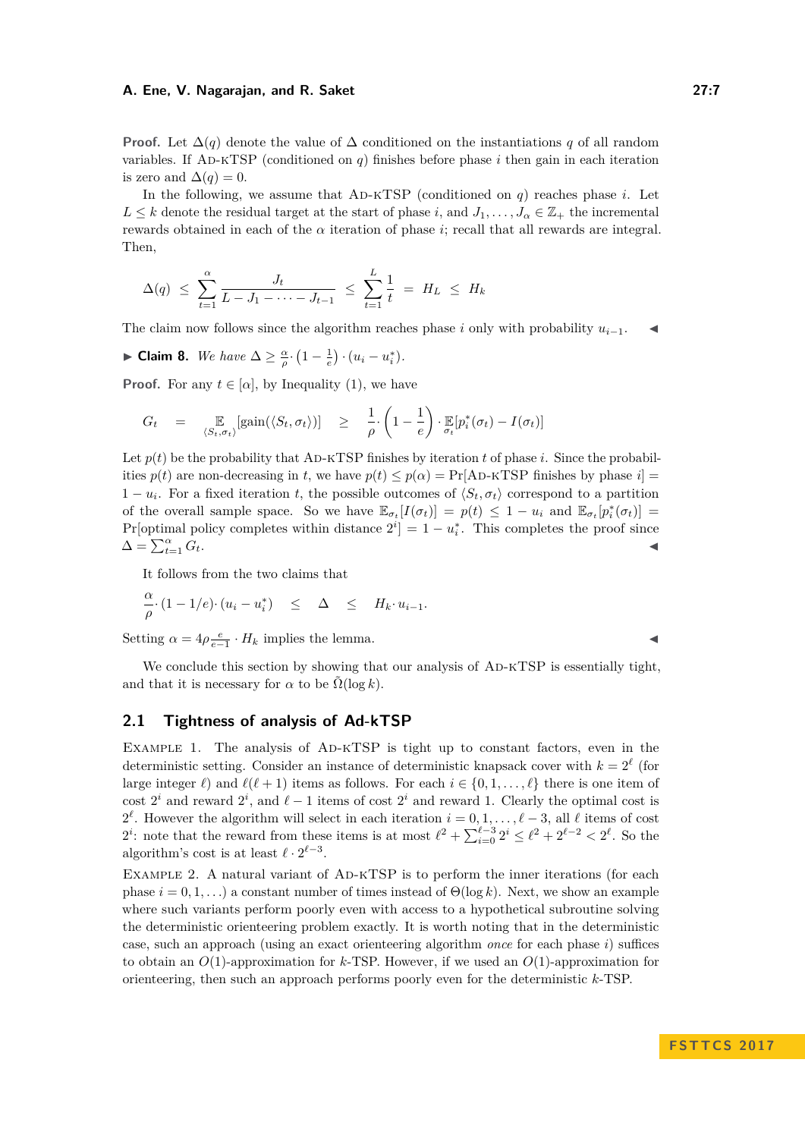**Proof.** Let  $\Delta(q)$  denote the value of  $\Delta$  conditioned on the instantiations q of all random variables. If AD-KTSP (conditioned on  $q$ ) finishes before phase  $i$  then gain in each iteration is zero and  $\Delta(q) = 0$ .

In the following, we assume that  $AD-KTSP$  (conditioned on  $q$ ) reaches phase  $i$ . Let  $L \leq k$  denote the residual target at the start of phase *i*, and  $J_1, \ldots, J_\alpha \in \mathbb{Z}_+$  the incremental rewards obtained in each of the *α* iteration of phase *i*; recall that all rewards are integral. Then,

$$
\Delta(q) \leq \sum_{t=1}^{\alpha} \frac{J_t}{L - J_1 - \dots - J_{t-1}} \leq \sum_{t=1}^{L} \frac{1}{t} = H_L \leq H_k
$$

The claim now follows since the algorithm reaches phase *i* only with probability  $u_{i-1}$ .

<span id="page-6-1"></span>► **Claim 8.** *We have*  $\Delta \geq \frac{\alpha}{\rho} \cdot \left(1 - \frac{1}{e}\right) \cdot (u_i - u_i^*)$ *.* 

**Proof.** For any  $t \in [\alpha]$ , by Inequality [\(1\)](#page-5-3), we have

$$
G_t = \mathbb{E}_{\langle S_t, \sigma_t \rangle}[\text{gain}(\langle S_t, \sigma_t \rangle)] \geq \frac{1}{\rho} \cdot \left(1 - \frac{1}{e}\right) \cdot \mathbb{E}_{\sigma_t}[\mathbf{p}_i^*(\sigma_t) - I(\sigma_t)]
$$

Let  $p(t)$  be the probability that AD-KTSP finishes by iteration  $t$  of phase  $i$ . Since the probabilities  $p(t)$  are non-decreasing in *t*, we have  $p(t) \leq p(\alpha) = \Pr[\text{AD-KISP} \text{ finishes by phase } i]$  $1 - u_i$ . For a fixed iteration *t*, the possible outcomes of  $\langle S_t, \sigma_t \rangle$  correspond to a partition of the overall sample space. So we have  $\mathbb{E}_{\sigma_t}[I(\sigma_t)] = p(t) \leq 1 - u_i$  and  $\mathbb{E}_{\sigma_t}[p_i^*(\sigma_t)] =$ Pr[optimal policy completes within distance  $2^{i}$ ] = 1 –  $u_i^*$ . This completes the proof since  $\Delta = \sum_{t=1}^{\alpha} G_t.$  $\frac{\alpha}{t=1} G_t$ .

It follows from the two claims that

$$
\frac{\alpha}{\rho} \cdot (1 - 1/e) \cdot (u_i - u_i^*) \leq \Delta \leq H_k \cdot u_{i-1}.
$$

Setting  $\alpha = 4\rho \frac{e}{e-1} \cdot H_k$  implies the lemma.

We conclude this section by showing that our analysis of AD-KTSP is essentially tight. and that it is necessary for  $\alpha$  to be  $\Omega(\log k)$ .

## <span id="page-6-0"></span>**2.1 Tightness of analysis of Ad-kTSP**

Example 1. The analysis of Ad-kTSP is tight up to constant factors, even in the deterministic setting. Consider an instance of deterministic knapsack cover with  $k = 2^{\ell}$  (for large integer  $\ell$ ) and  $\ell(\ell + 1)$  items as follows. For each  $i \in \{0, 1, \ldots, \ell\}$  there is one item of cost  $2^i$  and reward  $2^i$ , and  $\ell - 1$  items of cost  $2^i$  and reward 1. Clearly the optimal cost is 2<sup> $\ell$ </sup>. However the algorithm will select in each iteration  $i = 0, 1, \ldots, \ell - 3$ , all  $\ell$  items of cost 2<sup>*i*</sup>: note that the reward from these items is at most  $\ell^2 + \sum_{i=0}^{\ell-3} 2^i \leq \ell^2 + 2^{\ell-2} < 2^{\ell}$ . So the algorithm's cost is at least  $\ell \cdot 2^{\ell-3}$ .

EXAMPLE 2. A natural variant of AD-KTSP is to perform the inner iterations (for each phase  $i = 0, 1, \ldots$ ) a constant number of times instead of  $\Theta(\log k)$ . Next, we show an example where such variants perform poorly even with access to a hypothetical subroutine solving the deterministic orienteering problem exactly. It is worth noting that in the deterministic case, such an approach (using an exact orienteering algorithm *once* for each phase *i*) suffices to obtain an *O*(1)-approximation for *k*-TSP. However, if we used an *O*(1)-approximation for orienteering, then such an approach performs poorly even for the deterministic *k*-TSP.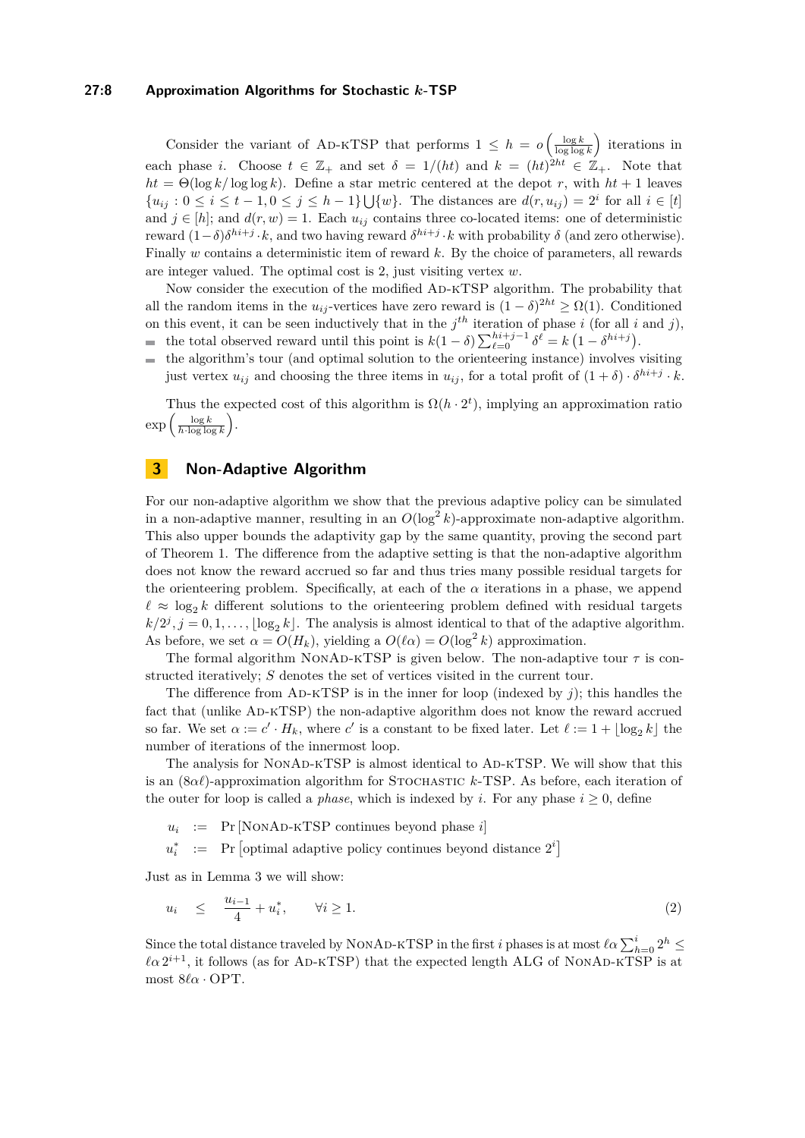## **27:8 Approximation Algorithms for Stochastic** *k***-TSP**

Consider the variant of AD-KTSP that performs  $1 \leq h = o\left(\frac{\log k}{\log \log k}\right)$  iterations in each phase *i*. Choose  $t \in \mathbb{Z}_+$  and set  $\delta = 1/(ht)$  and  $k = (ht)^{2ht} \in \mathbb{Z}_+$ . Note that  $ht = \Theta(\log k / \log \log k)$ . Define a star metric centered at the depot *r*, with  $ht + 1$  leaves  ${u_{ij} : 0 \le i \le t - 1, 0 \le j \le h - 1}$   $\bigcup \{w\}.$  The distances are  $d(r, u_{ij}) = 2^i$  for all  $i \in [t]$ and  $j \in [h]$ ; and  $d(r, w) = 1$ . Each  $u_{ij}$  contains three co-located items: one of deterministic reward  $(1 − δ)δ<sup>hi+*j*</sup>·*k*$ , and two having reward  $δ<sup>hi+*j*</sup>·*k*$  with probability  $δ$  (and zero otherwise). Finally *w* contains a deterministic item of reward *k*. By the choice of parameters, all rewards are integer valued. The optimal cost is 2, just visiting vertex *w*.

Now consider the execution of the modified Ad-kTSP algorithm. The probability that all the random items in the  $u_{ij}$ -vertices have zero reward is  $(1 - \delta)^{2ht} \ge \Omega(1)$ . Conditioned on this event, it can be seen inductively that in the  $j<sup>th</sup>$  iteration of phase *i* (for all *i* and *j*), the total observed reward until this point is  $k(1 - \delta) \sum_{\ell=0}^{hi+j-1} \delta^{\ell} = k(1 - \delta^{hi+j}).$ 

the algorithm's tour (and optimal solution to the orienteering instance) involves visiting just vertex  $u_{ij}$  and choosing the three items in  $u_{ij}$ , for a total profit of  $(1 + \delta) \cdot \delta^{hi+j} \cdot k$ .

Thus the expected cost of this algorithm is  $\Omega(h \cdot 2^t)$ , implying an approximation ratio  $\exp\left(\frac{\log k}{h\cdot\log\log k}\right)$ .

## <span id="page-7-0"></span>**3 Non-Adaptive Algorithm**

For our non-adaptive algorithm we show that the previous adaptive policy can be simulated in a non-adaptive manner, resulting in an  $O(\log^2 k)$ -approximate non-adaptive algorithm. This also upper bounds the adaptivity gap by the same quantity, proving the second part of Theorem [1.](#page-1-1) The difference from the adaptive setting is that the non-adaptive algorithm does not know the reward accrued so far and thus tries many possible residual targets for the orienteering problem. Specifically, at each of the  $\alpha$  iterations in a phase, we append  $\ell \approx \log_2 k$  different solutions to the orienteering problem defined with residual targets  $k/2^j$ ,  $j = 0, 1, \ldots$ ,  $\lfloor \log_2 k \rfloor$ . The analysis is almost identical to that of the adaptive algorithm. As before, we set  $\alpha = O(H_k)$ , yielding a  $O(\ell \alpha) = O(\log^2 k)$  approximation.

The formal algorithm NONAD-KTSP is given below. The non-adaptive tour  $\tau$  is constructed iteratively; *S* denotes the set of vertices visited in the current tour.

The difference from AD-KTSP is in the inner for loop (indexed by  $j$ ); this handles the fact that (unlike Ad-kTSP) the non-adaptive algorithm does not know the reward accrued so far. We set  $\alpha := c' \cdot H_k$ , where  $c'$  is a constant to be fixed later. Let  $\ell := 1 + \lfloor \log_2 k \rfloor$  the number of iterations of the innermost loop.

The analysis for NONAD-KTSP is almost identical to AD-KTSP. We will show that this is an  $(8\alpha\ell)$ -approximation algorithm for STOCHASTIC *k*-TSP. As before, each iteration of the outer for loop is called a *phase*, which is indexed by *i*. For any phase  $i > 0$ , define

 $u_i$  := Pr [NONAD-KTSP continues beyond phase *i*]

<span id="page-7-1"></span> $u_i^*$  := Pr [optimal adaptive policy continues beyond distance  $2^i$ ]

Just as in Lemma [3](#page-3-0) we will show:

$$
u_i \le \frac{u_{i-1}}{4} + u_i^*, \qquad \forall i \ge 1. \tag{2}
$$

Since the total distance traveled by NONAD-KTSP in the first *i* phases is at most  $\ell \alpha \sum_{h=0}^{i} 2^h \le$  $\ell \alpha$  2<sup>*i*+1</sup>, it follows (as for AD-KTSP) that the expected length ALG of NONAD-KTSP is at most  $8\ell\alpha$  · OPT.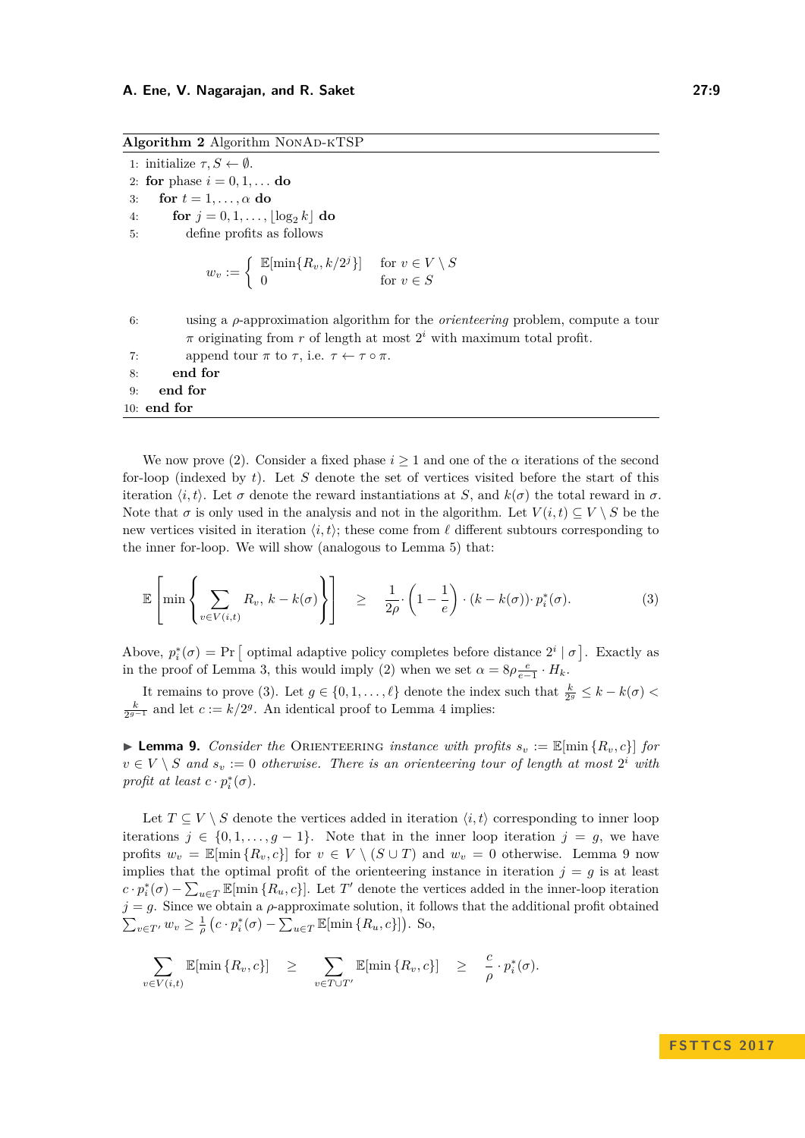**Algorithm 2** Algorithm NonAd-kTSP

1: initialize  $\tau, S \leftarrow \emptyset$ . 2: **for** phase  $i = 0, 1, \ldots$  **do** 3: **for**  $t = 1, \ldots, \alpha$  **do** 4: **for**  $j = 0, 1, ..., |\log_2 k|$  **do** 5: define profits as follows  $w_v := \begin{cases} \mathbb{E}[\min\{R_v, k/2^j\}] & \text{for } v \in V \setminus S \\ 0 & \text{for } v \in S \end{cases}$ 0 for  $v \in S$ 6: using a *ρ*-approximation algorithm for the *orienteering* problem, compute a tour  $\pi$  originating from  $r$  of length at most  $2^i$  with maximum total profit. 7: append tour  $\pi$  to  $\tau$ , i.e.  $\tau \leftarrow \tau \circ \pi$ . 8: **end for** 9: **end for** 10: **end for**

We now prove [\(2\)](#page-7-1). Consider a fixed phase  $i \geq 1$  and one of the  $\alpha$  iterations of the second for-loop (indexed by  $t$ ). Let  $S$  denote the set of vertices visited before the start of this iteration  $\langle i, t \rangle$ . Let  $\sigma$  denote the reward instantiations at *S*, and  $k(\sigma)$  the total reward in  $\sigma$ . Note that  $\sigma$  is only used in the analysis and not in the algorithm. Let  $V(i, t) \subseteq V \setminus S$  be the new vertices visited in iteration  $\langle i, t \rangle$ ; these come from  $\ell$  different subtours corresponding to the inner for-loop. We will show (analogous to Lemma [5\)](#page-5-2) that:

<span id="page-8-0"></span>
$$
\mathbb{E}\left[\min\left\{\sum_{v\in V(i,t)} R_v, \, k - k(\sigma)\right\}\right] \geq \frac{1}{2\rho} \cdot \left(1 - \frac{1}{e}\right) \cdot (k - k(\sigma)) \cdot p_i^*(\sigma). \tag{3}
$$

Above,  $p_i^*(\sigma) = \Pr$  optimal adaptive policy completes before distance  $2^i | \sigma$ . Exactly as in the proof of Lemma [3,](#page-3-0) this would imply [\(2\)](#page-7-1) when we set  $\alpha = 8\rho \frac{e}{e-1} \cdot H_k$ .

It remains to prove [\(3\)](#page-8-0). Let  $g \in \{0, 1, \ldots, \ell\}$  denote the index such that  $\frac{k}{2^g} \leq k - k(\sigma)$  $\frac{k}{2^{g-1}}$  and let *c* := *k/*2<sup>*g*</sup>. An identical proof to Lemma [4](#page-4-0) implies:

<span id="page-8-1"></span>**Example 9.** Consider the ORIENTEERING *instance with profits*  $s_v := \mathbb{E}[\min\{R_v, c\}]$  for  $v \in V \setminus S$  and  $s_v := 0$  otherwise. There is an orienteering tour of length at most  $2^i$  with *profit at least*  $c \cdot p_i^*(\sigma)$ *.* 

Let  $T \subseteq V \setminus S$  denote the vertices added in iteration  $\langle i, t \rangle$  corresponding to inner loop iterations  $j \in \{0, 1, \ldots, g-1\}$ . Note that in the inner loop iteration  $j = g$ , we have profits  $w_v = \mathbb{E}[\min\{R_v, c\}]$  for  $v \in V \setminus (S \cup T)$  and  $w_v = 0$  otherwise. Lemma [9](#page-8-1) now implies that the optimal profit of the orienteering instance in iteration  $j = g$  is at least  $c \cdot p_i^*(\sigma) - \sum_{u \in T} \mathbb{E}[\min\{R_u, c\}]$ . Let *T*<sup> $\prime$ </sup> denote the vertices added in the inner-loop iteration  $j = g$ . Since we obtain a  $\rho$ -approximate solution, it follows that the additional profit obtained  $\sum_{v \in T'} w_v \geq \frac{1}{\rho} \left( c \cdot p_i^*(\sigma) - \sum_{u \in T} \mathbb{E}[\min \{R_u, c\}] \right)$ . So,

$$
\sum_{v \in V(i,t)} \mathbb{E}[\min\{R_v, c\}] \geq \sum_{v \in T \cup T'} \mathbb{E}[\min\{R_v, c\}] \geq \frac{c}{\rho} \cdot p_i^*(\sigma).
$$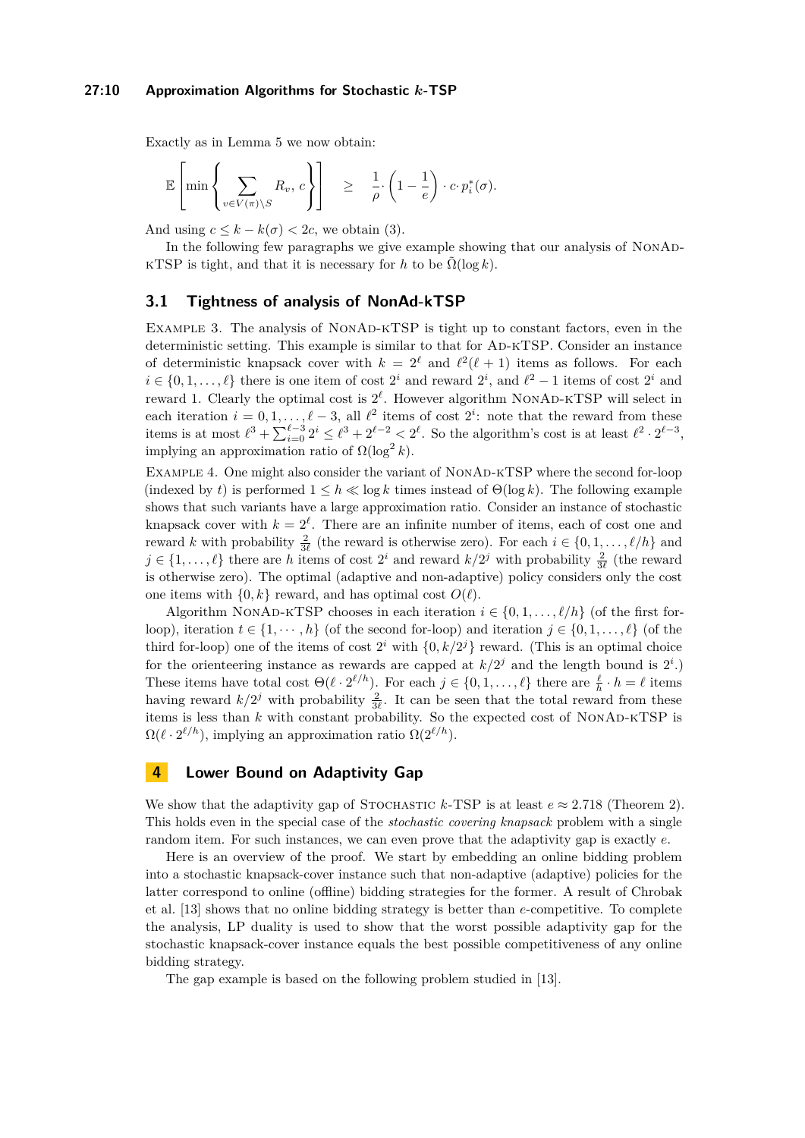#### **27:10 Approximation Algorithms for Stochastic** *k***-TSP**

Exactly as in Lemma [5](#page-5-2) we now obtain:

$$
\mathbb{E}\left[\min\left\{\sum_{v\in V(\pi)\setminus S} R_v, c\right\}\right] \geq \frac{1}{\rho} \cdot \left(1-\frac{1}{e}\right) \cdot c \cdot p_i^*(\sigma).
$$

And using  $c \leq k - k(\sigma) < 2c$ , we obtain [\(3\)](#page-8-0).

In the following few paragraphs we give example showing that our analysis of NONAD-KTSP is tight, and that it is necessary for *h* to be  $\Omega(\log k)$ .

## **3.1 Tightness of analysis of NonAd-kTSP**

EXAMPLE 3. The analysis of NONAD-KTSP is tight up to constant factors, even in the deterministic setting. This example is similar to that for Ad-kTSP. Consider an instance of deterministic knapsack cover with  $k = 2^{\ell}$  and  $\ell^2(\ell+1)$  items as follows. For each  $i \in \{0, 1, \ldots, \ell\}$  there is one item of cost  $2^i$  and reward  $2^i$ , and  $\ell^2 - 1$  items of cost  $2^i$  and reward 1. Clearly the optimal cost is  $2^{\ell}$ . However algorithm NONAD-KTSP will select in each iteration  $i = 0, 1, \ldots, \ell - 3$ , all  $\ell^2$  items of cost  $2^i$ : note that the reward from these items is at most  $\ell^3 + \sum_{i=0}^{\ell-3} 2^i \leq \ell^3 + 2^{\ell-2} < 2^{\ell}$ . So the algorithm's cost is at least  $\ell^2 \cdot 2^{\ell-3}$ , implying an approximation ratio of  $\Omega(\log^2 k)$ .

EXAMPLE 4. One might also consider the variant of NONAD-KTSP where the second for-loop (indexed by *t*) is performed  $1 \leq h \ll \log k$  times instead of  $\Theta(\log k)$ . The following example shows that such variants have a large approximation ratio. Consider an instance of stochastic knapsack cover with  $k = 2^{\ell}$ . There are an infinite number of items, each of cost one and reward *k* with probability  $\frac{2}{3\ell}$  (the reward is otherwise zero). For each  $i \in \{0, 1, \ldots, \ell/h\}$  and  $j \in \{1, \ldots, \ell\}$  there are *h* items of cost  $2^i$  and reward  $k/2^j$  with probability  $\frac{2}{3\ell}$  (the reward is otherwise zero). The optimal (adaptive and non-adaptive) policy considers only the cost one items with  $\{0, k\}$  reward, and has optimal cost  $O(\ell)$ .

Algorithm NONAD-KTSP chooses in each iteration  $i \in \{0, 1, \ldots, \ell/h\}$  (of the first forloop), iteration  $t \in \{1, \dots, h\}$  (of the second for-loop) and iteration  $j \in \{0, 1, \dots, \ell\}$  (of the third for-loop) one of the items of cost  $2^i$  with  $\{0, k/2^j\}$  reward. (This is an optimal choice for the orienteering instance as rewards are capped at  $k/2<sup>j</sup>$  and the length bound is  $2<sup>i</sup>$ .) These items have total cost  $\Theta(\ell \cdot 2^{\ell/h})$ . For each  $j \in \{0, 1, \ldots, \ell\}$  there are  $\frac{\ell}{h} \cdot h = \ell$  items having reward  $k/2^j$  with probability  $\frac{2}{3\ell}$ . It can be seen that the total reward from these items is less than  $k$  with constant probability. So the expected cost of NONAD-KTSP is  $\Omega(\ell \cdot 2^{\ell/h})$ , implying an approximation ratio  $\Omega(2^{\ell/h})$ .

## <span id="page-9-0"></span>**4 Lower Bound on Adaptivity Gap**

We show that the adaptivity gap of STOCHASTIC  $k$ -TSP is at least  $e \approx 2.718$  (Theorem [2\)](#page-2-1). This holds even in the special case of the *stochastic covering knapsack* problem with a single random item. For such instances, we can even prove that the adaptivity gap is exactly *e*.

Here is an overview of the proof. We start by embedding an online bidding problem into a stochastic knapsack-cover instance such that non-adaptive (adaptive) policies for the latter correspond to online (offline) bidding strategies for the former. A result of Chrobak et al. [\[13\]](#page-12-4) shows that no online bidding strategy is better than *e*-competitive. To complete the analysis, LP duality is used to show that the worst possible adaptivity gap for the stochastic knapsack-cover instance equals the best possible competitiveness of any online bidding strategy.

The gap example is based on the following problem studied in [\[13\]](#page-12-4).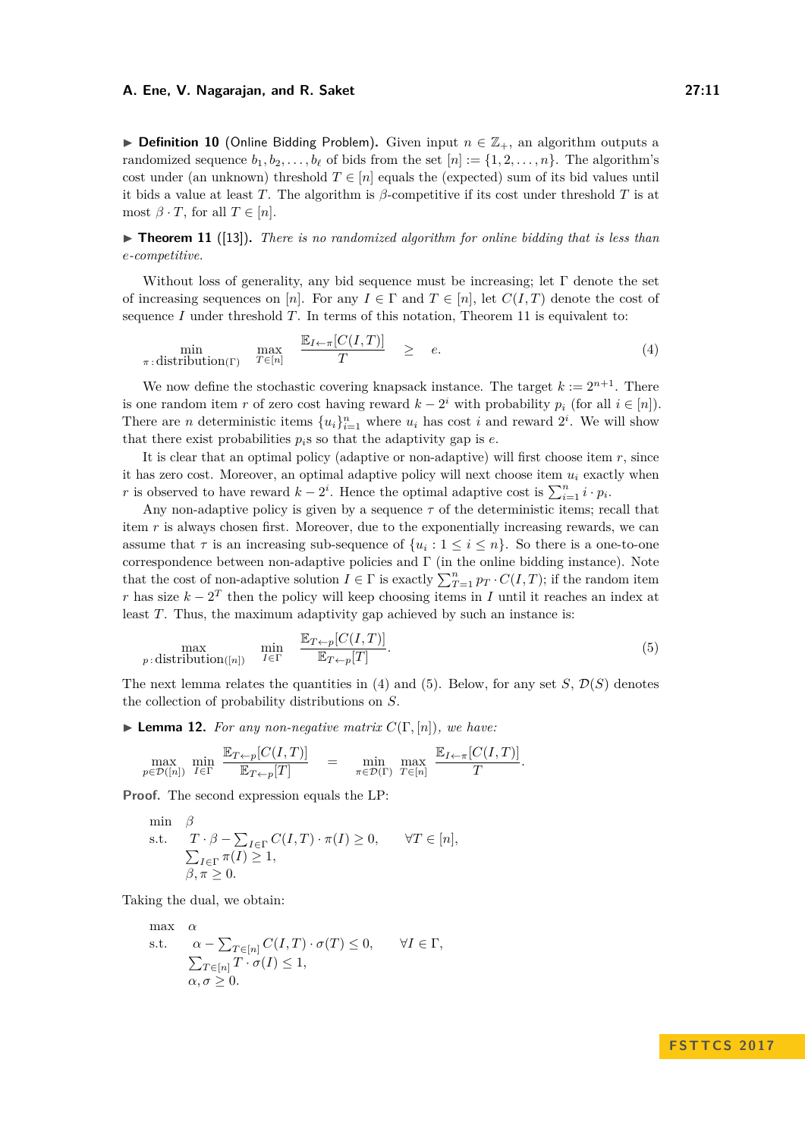**► Definition 10** (Online Bidding Problem). Given input  $n \in \mathbb{Z}_+$ , an algorithm outputs a randomized sequence  $b_1, b_2, \ldots, b_\ell$  of bids from the set  $[n] := \{1, 2, \ldots, n\}$ . The algorithm's cost under (an unknown) threshold  $T \in [n]$  equals the (expected) sum of its bid values until it bids a value at least *T*. The algorithm is *β*-competitive if its cost under threshold *T* is at most  $\beta \cdot T$ , for all  $T \in [n]$ .

<span id="page-10-0"></span> $\triangleright$  **Theorem 11** ([\[13\]](#page-12-4)). *There is no randomized algorithm for online bidding that is less than e-competitive.*

Without loss of generality, any bid sequence must be increasing; let  $\Gamma$  denote the set of increasing sequences on [*n*]. For any  $I \in \Gamma$  and  $T \in [n]$ , let  $C(I,T)$  denote the cost of sequence *I* under threshold *T*. In terms of this notation, Theorem [11](#page-10-0) is equivalent to:

<span id="page-10-1"></span>
$$
\min_{\pi \,:\, \text{distribution}(\Gamma)} \quad \max_{T \in [n]} \quad \frac{\mathbb{E}_{I \leftarrow \pi}[C(I,T)]}{T} \quad \geq \quad e. \tag{4}
$$

We now define the stochastic covering knapsack instance. The target  $k := 2^{n+1}$ . There is one random item *r* of zero cost having reward  $k - 2^i$  with probability  $p_i$  (for all  $i \in [n]$ ). There are *n* deterministic items  $\{u_i\}_{i=1}^n$  where  $u_i$  has cost *i* and reward  $2^i$ . We will show that there exist probabilities  $p_i$ s so that the adaptivity gap is  $e$ .

It is clear that an optimal policy (adaptive or non-adaptive) will first choose item *r*, since it has zero cost. Moreover, an optimal adaptive policy will next choose item  $u_i$  exactly when *r* is observed to have reward  $k - 2^i$ . Hence the optimal adaptive cost is  $\sum_{i=1}^n i \cdot p_i$ .

Any non-adaptive policy is given by a sequence  $\tau$  of the deterministic items; recall that item *r* is always chosen first. Moreover, due to the exponentially increasing rewards, we can assume that  $\tau$  is an increasing sub-sequence of  $\{u_i: 1 \leq i \leq n\}$ . So there is a one-to-one correspondence between non-adaptive policies and  $\Gamma$  (in the online bidding instance). Note that the cost of non-adaptive solution  $I \in \Gamma$  is exactly  $\sum_{T=1}^{n} p_T \cdot C(I, T)$ ; if the random item *r* has size  $k - 2^T$  then the policy will keep choosing items in *I* until it reaches an index at least *T*. Thus, the maximum adaptivity gap achieved by such an instance is:

<span id="page-10-2"></span>
$$
\max_{p:\text{distribution}([n])} \quad \min_{I \in \Gamma} \quad \frac{\mathbb{E}_{T \leftarrow p}[C(I,T)]}{\mathbb{E}_{T \leftarrow p}[T]}.\tag{5}
$$

The next lemma relates the quantities in [\(4\)](#page-10-1) and [\(5\)](#page-10-2). Below, for any set  $S$ ,  $\mathcal{D}(S)$  denotes the collection of probability distributions on *S*.

**I Lemma 12.** For any non-negative matrix  $C(\Gamma, [n])$ , we have:

$$
\max_{p \in \mathcal{D}([n])} \min_{I \in \Gamma} \frac{\mathbb{E}_{T \leftarrow p}[C(I,T)]}{\mathbb{E}_{T \leftarrow p}[T]} = \min_{\pi \in \mathcal{D}(\Gamma)} \max_{T \in [n]} \frac{\mathbb{E}_{I \leftarrow \pi}[C(I,T)]}{T}.
$$

**Proof.** The second expression equals the LP:

$$
\begin{array}{ll}\n\min & \beta \\
\text{s.t.} & T \cdot \beta - \sum_{I \in \Gamma} C(I, T) \cdot \pi(I) \ge 0, \quad \forall T \in [n], \\
& \sum_{I \in \Gamma} \pi(I) \ge 1, \\
& \beta, \pi \ge 0.\n\end{array}
$$

Taking the dual, we obtain:

max 
$$
\alpha
$$
  
\ns.t.  $\alpha - \sum_{T \in [n]} C(I, T) \cdot \sigma(T) \le 0, \quad \forall I \in \Gamma$ ,  
\n $\sum_{T \in [n]} T \cdot \sigma(I) \le 1,$   
\n $\alpha, \sigma \ge 0.$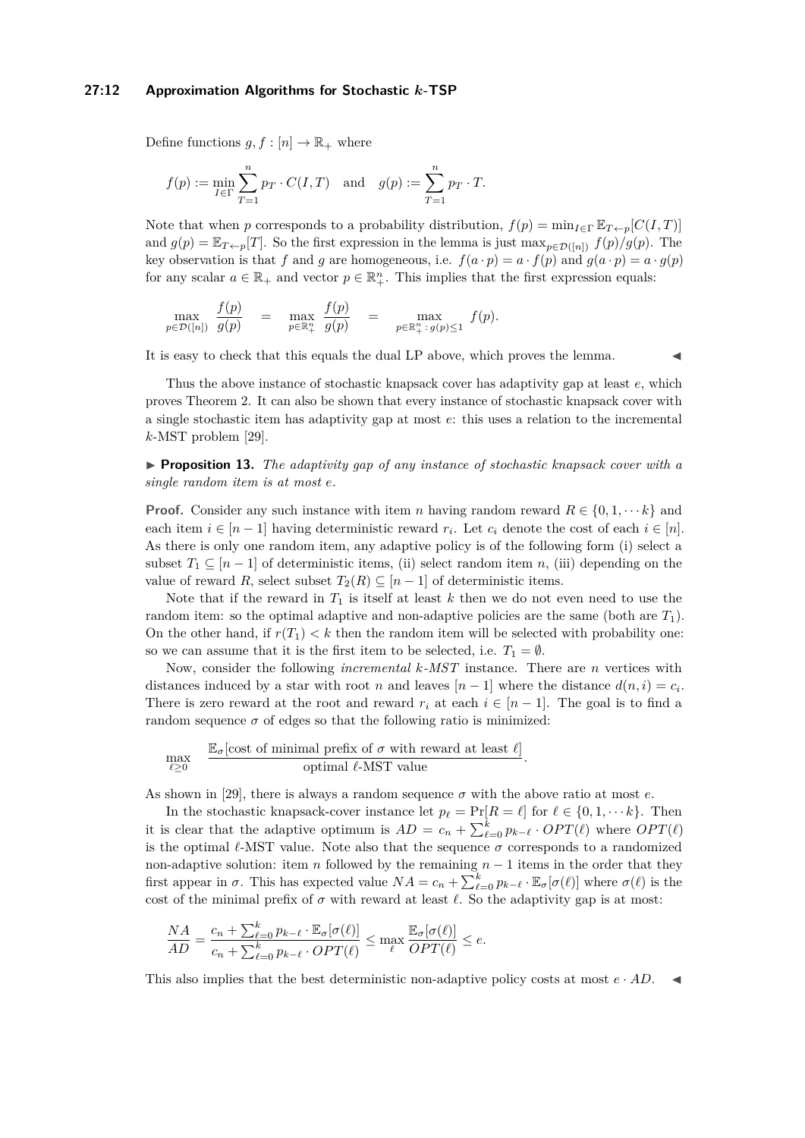#### **27:12 Approximation Algorithms for Stochastic** *k***-TSP**

Define functions  $g, f : [n] \to \mathbb{R}_+$  where

$$
f(p):=\min_{I\in\Gamma}\sum_{T=1}^n p_T\cdot C(I,T)\quad\text{and}\quad g(p):=\sum_{T=1}^n p_T\cdot T.
$$

Note that when *p* corresponds to a probability distribution,  $f(p) = \min_{I \in \Gamma} \mathbb{E}_{T \leftarrow p}[C(I, T)]$ and  $g(p) = \mathbb{E}_{T \leftarrow p}[T]$ . So the first expression in the lemma is just  $\max_{p \in \mathcal{D}([n])} f(p)/g(p)$ . The key observation is that *f* and *g* are homogeneous, i.e.  $f(a \cdot p) = a \cdot f(p)$  and  $g(a \cdot p) = a \cdot g(p)$ for any scalar  $a \in \mathbb{R}_+$  and vector  $p \in \mathbb{R}_+^n$ . This implies that the first expression equals:

$$
\max_{p\in\mathcal{D}([n])}\;\;\frac{f(p)}{g(p)}\quad=\quad\max_{p\in\mathbb{R}^n_+}\;\;\frac{f(p)}{g(p)}\quad=\quad\max_{p\in\mathbb{R}^n_+: \;g(p)\leq 1}\;\;f(p).
$$

It is easy to check that this equals the dual LP above, which proves the lemma.

Thus the above instance of stochastic knapsack cover has adaptivity gap at least *e*, which proves Theorem [2.](#page-2-1) It can also be shown that every instance of stochastic knapsack cover with a single stochastic item has adaptivity gap at most *e*: this uses a relation to the incremental *k*-MST problem [\[29\]](#page-13-12).

I **Proposition 13.** *The adaptivity gap of any instance of stochastic knapsack cover with a single random item is at most e.*

**Proof.** Consider any such instance with item *n* having random reward  $R \in \{0, 1, \dots k\}$  and each item  $i \in [n-1]$  having deterministic reward  $r_i$ . Let  $c_i$  denote the cost of each  $i \in [n]$ . As there is only one random item, any adaptive policy is of the following form (i) select a subset  $T_1 \subseteq [n-1]$  of deterministic items, (ii) select random item *n*, (iii) depending on the value of reward *R*, select subset  $T_2(R) \subseteq [n-1]$  of deterministic items.

Note that if the reward in  $T_1$  is itself at least  $k$  then we do not even need to use the random item: so the optimal adaptive and non-adaptive policies are the same (both are *T*1). On the other hand, if  $r(T_1) < k$  then the random item will be selected with probability one: so we can assume that it is the first item to be selected, i.e.  $T_1 = \emptyset$ .

Now, consider the following *incremental k-MST* instance. There are *n* vertices with distances induced by a star with root *n* and leaves  $[n-1]$  where the distance  $d(n, i) = c_i$ . There is zero reward at the root and reward  $r_i$  at each  $i \in [n-1]$ . The goal is to find a random sequence  $\sigma$  of edges so that the following ratio is minimized:

$$
\max_{\ell \geq 0} \quad \frac{\mathbb{E}_{\sigma}[\text{cost of minimal prefix of } \sigma \text{ with reward at least } \ell]}{\text{optimal } \ell\text{-MST value}}.
$$

As shown in [\[29\]](#page-13-12), there is always a random sequence  $\sigma$  with the above ratio at most *e*.

In the stochastic knapsack-cover instance let  $p_\ell = \Pr[R = \ell]$  for  $\ell \in \{0, 1, \dots k\}$ . Then it is clear that the adaptive optimum is  $AD = c_n + \sum_{\ell=0}^{k} p_{k-\ell} \cdot OPT(\ell)$  where  $OPT(\ell)$ is the optimal  $\ell$ -MST value. Note also that the sequence  $\sigma$  corresponds to a randomized non-adaptive solution: item *n* followed by the remaining *n* − 1 items in the order that they first appear in  $\sigma$ . This has expected value  $NA = c_n + \sum_{\ell=0}^k p_{k-\ell} \cdot \mathbb{E}_{\sigma}[\sigma(\ell)]$  where  $\sigma(\ell)$  is the cost of the minimal prefix of  $\sigma$  with reward at least  $\ell$ . So the adaptivity gap is at most:

$$
\frac{NA}{AD} = \frac{c_n + \sum_{\ell=0}^k p_{k-\ell} \cdot \mathbb{E}_{\sigma}[\sigma(\ell)]}{c_n + \sum_{\ell=0}^k p_{k-\ell} \cdot OPT(\ell)} \le \max_{\ell} \frac{\mathbb{E}_{\sigma}[\sigma(\ell)]}{OPT(\ell)} \le e.
$$

This also implies that the best deterministic non-adaptive policy costs at most  $e \cdot AD$ .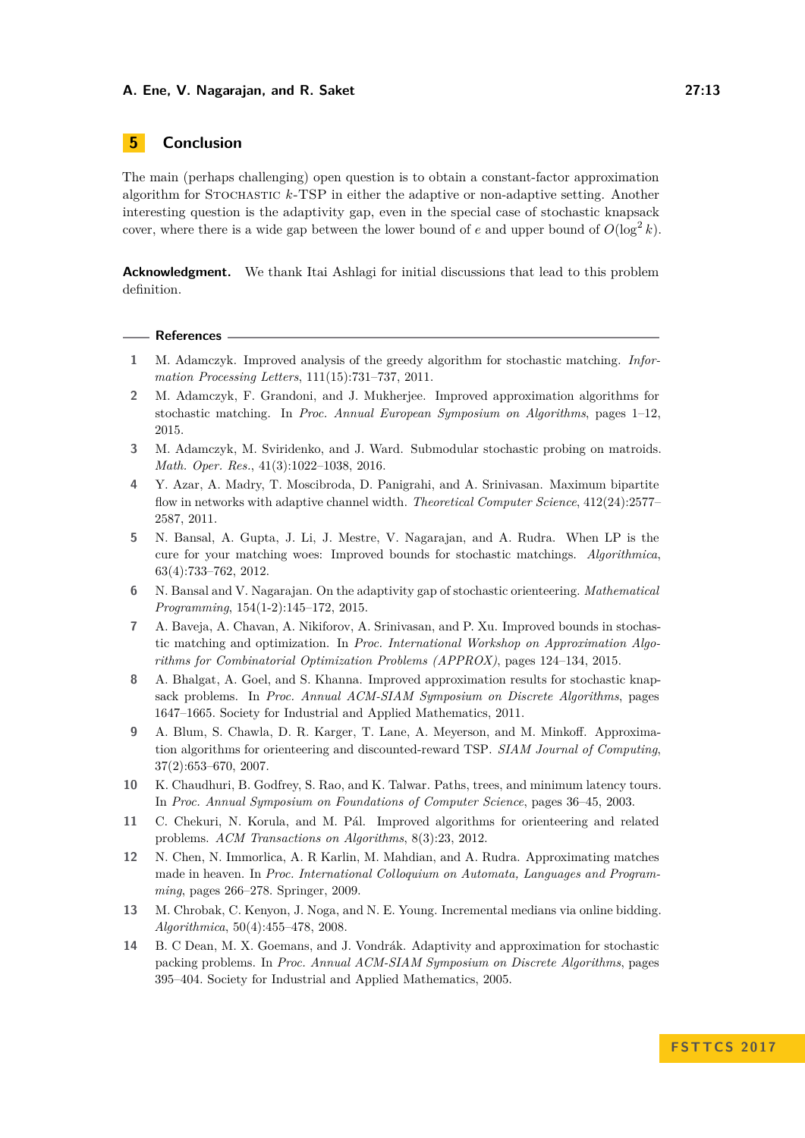# **5 Conclusion**

The main (perhaps challenging) open question is to obtain a constant-factor approximation algorithm for Stochastic *k*-TSP in either the adaptive or non-adaptive setting. Another interesting question is the adaptivity gap, even in the special case of stochastic knapsack cover, where there is a wide gap between the lower bound of *e* and upper bound of  $O(\log^2 k)$ .

**Acknowledgment.** We thank Itai Ashlagi for initial discussions that lead to this problem definition.

#### **References**

- <span id="page-12-8"></span>**1** M. Adamczyk. Improved analysis of the greedy algorithm for stochastic matching. *Information Processing Letters*, 111(15):731–737, 2011.
- <span id="page-12-10"></span>**2** M. Adamczyk, F. Grandoni, and J. Mukherjee. Improved approximation algorithms for stochastic matching. In *Proc. Annual European Symposium on Algorithms*, pages 1–12, 2015.
- <span id="page-12-11"></span>**3** M. Adamczyk, M. Sviridenko, and J. Ward. Submodular stochastic probing on matroids. *Math. Oper. Res.*, 41(3):1022–1038, 2016.
- <span id="page-12-13"></span>**4** Y. Azar, A. Madry, T. Moscibroda, D. Panigrahi, and A. Srinivasan. Maximum bipartite flow in networks with adaptive channel width. *Theoretical Computer Science*, 412(24):2577– 2587, 2011.
- <span id="page-12-0"></span>**5** N. Bansal, A. Gupta, J. Li, J. Mestre, V. Nagarajan, and A. Rudra. When LP is the cure for your matching woes: Improved bounds for stochastic matchings. *Algorithmica*, 63(4):733–762, 2012.
- <span id="page-12-1"></span>**6** N. Bansal and V. Nagarajan. On the adaptivity gap of stochastic orienteering. *Mathematical Programming*, 154(1-2):145–172, 2015.
- <span id="page-12-9"></span>**7** A. Baveja, A. Chavan, A. Nikiforov, A. Srinivasan, and P. Xu. Improved bounds in stochastic matching and optimization. In *Proc. International Workshop on Approximation Algorithms for Combinatorial Optimization Problems (APPROX)*, pages 124–134, 2015.
- <span id="page-12-5"></span>**8** A. Bhalgat, A. Goel, and S. Khanna. Improved approximation results for stochastic knapsack problems. In *Proc. Annual ACM-SIAM Symposium on Discrete Algorithms*, pages 1647–1665. Society for Industrial and Applied Mathematics, 2011.
- <span id="page-12-3"></span>**9** A. Blum, S. Chawla, D. R. Karger, T. Lane, A. Meyerson, and M. Minkoff. Approximation algorithms for orienteering and discounted-reward TSP. *SIAM Journal of Computing*, 37(2):653–670, 2007.
- <span id="page-12-2"></span>**10** K. Chaudhuri, B. Godfrey, S. Rao, and K. Talwar. Paths, trees, and minimum latency tours. In *Proc. Annual Symposium on Foundations of Computer Science*, pages 36–45, 2003.
- <span id="page-12-12"></span>**11** C. Chekuri, N. Korula, and M. Pál. Improved algorithms for orienteering and related problems. *ACM Transactions on Algorithms*, 8(3):23, 2012.
- <span id="page-12-7"></span>**12** N. Chen, N. Immorlica, A. R Karlin, M. Mahdian, and A. Rudra. Approximating matches made in heaven. In *Proc. International Colloquium on Automata, Languages and Programming*, pages 266–278. Springer, 2009.
- <span id="page-12-4"></span>**13** M. Chrobak, C. Kenyon, J. Noga, and N. E. Young. Incremental medians via online bidding. *Algorithmica*, 50(4):455–478, 2008.
- <span id="page-12-6"></span>**14** B. C Dean, M. X. Goemans, and J. Vondrák. Adaptivity and approximation for stochastic packing problems. In *Proc. Annual ACM-SIAM Symposium on Discrete Algorithms*, pages 395–404. Society for Industrial and Applied Mathematics, 2005.